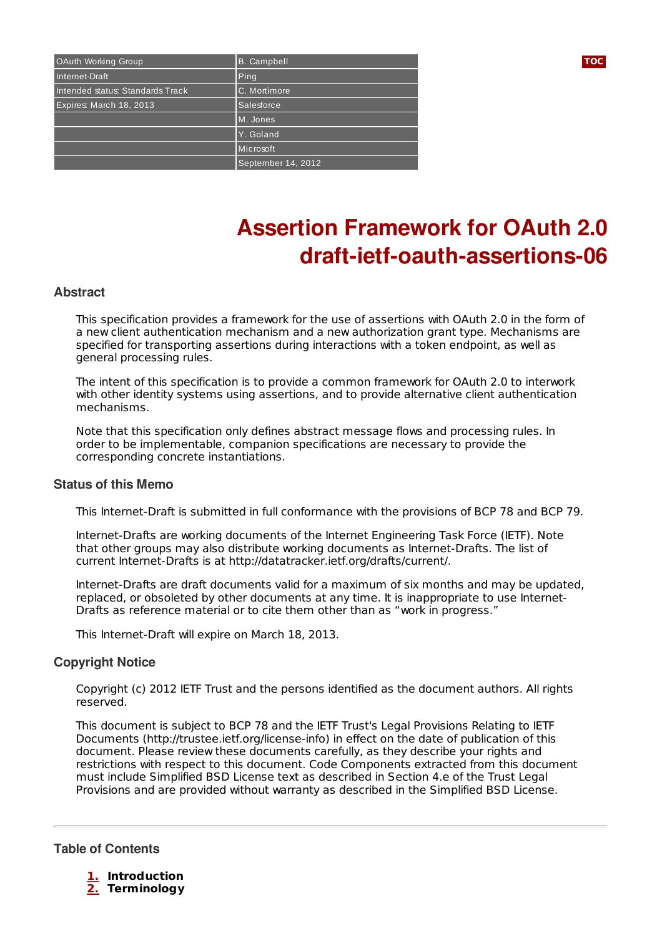| OAuth Working Group              | B. Campbell        | <b>TOC</b> |
|----------------------------------|--------------------|------------|
| Internet-Draft                   | Ping               |            |
| Intended status: Standards Track | C. Mortimore       |            |
| Expires: March 18, 2013          | Salesforce         |            |
|                                  | M. Jones           |            |
|                                  | Y. Goland          |            |
|                                  | Microsoft          |            |
|                                  | September 14, 2012 |            |

# **Assertion Framework for OAuth 2.0 draft-ietf-oauth-assertions-06**

#### **Abstract**

This specification provides a framework for the use of assertions with OAuth 2.0 in the form of a new client authentication mechanism and a new authorization grant type. Mechanisms are specified for transporting assertions during interactions with a token endpoint, as well as general processing rules.

The intent of this specification is to provide a common framework for OAuth 2.0 to interwork with other identity systems using assertions, and to provide alternative client authentication mechanisms.

Note that this specification only defines abstract message flows and processing rules. In order to be implementable, companion specifications are necessary to provide the corresponding concrete instantiations.

#### **Status of this Memo**

This Internet-Draft is submitted in full conformance with the provisions of BCP 78 and BCP 79.

Internet-Drafts are working documents of the Internet Engineering Task Force (IETF). Note that other groups may also distribute working documents as Internet-Drafts. The list of current Internet-Drafts is at http://datatracker.ietf.org/drafts/current/.

Internet-Drafts are draft documents valid for a maximum of six months and may be updated, replaced, or obsoleted by other documents at any time. It is inappropriate to use Internet-Drafts as reference material or to cite them other than as "work in progress."

This Internet-Draft will expire on March 18, 2013.

#### **Copyright Notice**

Copyright (c) 2012 IETF Trust and the persons identified as the document authors. All rights reserved.

This document is subject to BCP 78 and the IETF Trust's Legal Provisions Relating to IETF Documents (http://trustee.ietf.org/license-info) in effect on the date of publication of this document. Please review these documents carefully, as they describe your rights and restrictions with respect to this document. Code Components extracted from this document must include Simplified BSD License text as described in Section 4.e of the Trust Legal Provisions and are provided without warranty as described in the Simplified BSD License.

<span id="page-0-0"></span>**Table of Contents**

- **[1.](#page-1-0) Introduction**
- **[2.](#page-2-0) Terminology**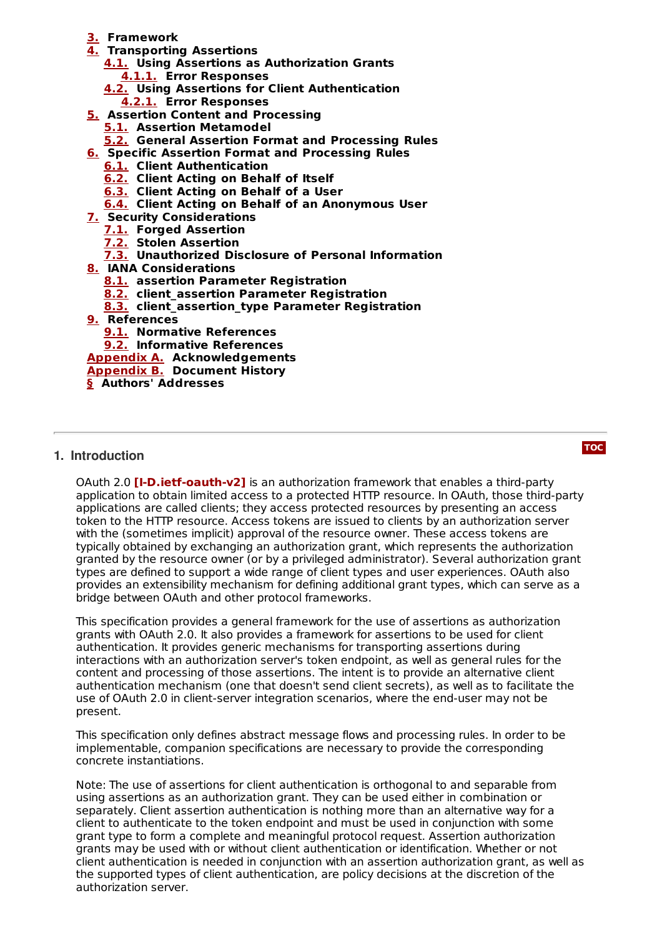- **[3.](#page-2-1) Framework**
- **[4.](#page-3-0) Transporting Assertions**
	- **[4.1.](#page-4-0) Using Assertions as Authorization Grants [4.1.1.](#page-4-1) Error Responses**
	- **[4.2.](#page-5-0) Using Assertions for Client Authentication [4.2.1.](#page-5-1) Error Responses**
- **[5.](#page-6-0) Assertion Content and Processing**
	- **[5.1.](#page-6-1) Assertion Metamodel**
	- **[5.2.](#page-6-2) General Assertion Format and Processing Rules**
- **[6.](#page-7-0) Specific Assertion Format and Processing Rules**
	- **[6.1.](#page-7-1) Client Authentication**
	- **[6.2.](#page-8-0) Client Acting on Behalf of Itself**
	- **[6.3.](#page-8-1) Client Acting on Behalf of a User**
	- **[6.4.](#page-9-0) Client Acting on Behalf of an Anonymous User**
- **[7.](#page-9-1) Security Considerations**
	- **[7.1.](#page-9-2) Forged Assertion**
	- **[7.2.](#page-10-0) Stolen Assertion**
	- **[7.3.](#page-10-1) Unauthorized Disclosure of Personal Information**
- **[8.](#page-11-0) IANA Considerations**
	- **[8.1.](#page-11-1) assertion Parameter Registration**
	- **[8.2.](#page-11-2) client\_assertion Parameter Registration**
	- **[8.3.](#page-11-3) client\_assertion\_type Parameter Registration**
- **[9.](#page-11-4) References**
	- **[9.1.](#page-11-4) Normative References**

**[9.2.](#page-11-5) Informative References**

**[Appendix](#page-12-0) A. Acknowledgements**

**[Appendix](#page-12-1) B. Document History**

<span id="page-1-0"></span>**[§](#page-13-0) Authors' Addresses**

## **1. Introduction**

**0Auth 2.0 [I-D.ietf-[oauth](#page-11-6)-v2]** is an authorization framework that enables a third-party application to obtain limited access to a protected HTTP resource. In OAuth, those third-party applications are called clients; they access protected resources by presenting an access token to the HTTP resource. Access tokens are issued to clients by an authorization server with the (sometimes implicit) approval of the resource owner. These access tokens are typically obtained by exchanging an authorization grant, which represents the authorization granted by the resource owner (or by a privileged administrator). Several authorization grant types are defined to support a wide range of client types and user experiences. OAuth also provides an extensibility mechanism for defining additional grant types, which can serve as a bridge between OAuth and other protocol frameworks.

This specification provides a general framework for the use of assertions as authorization grants with OAuth 2.0. It also provides a framework for assertions to be used for client authentication. It provides generic mechanisms for transporting assertions during interactions with an authorization server's token endpoint, as well as general rules for the content and processing of those assertions. The intent is to provide an alternative client authentication mechanism (one that doesn't send client secrets), as well as to facilitate the use of OAuth 2.0 in client-server integration scenarios, where the end-user may not be present.

This specification only defines abstract message flows and processing rules. In order to be implementable, companion specifications are necessary to provide the corresponding concrete instantiations.

Note: The use of assertions for client authentication is orthogonal to and separable from using assertions as an authorization grant. They can be used either in combination or separately. Client assertion authentication is nothing more than an alternative way for a client to authenticate to the token endpoint and must be used in conjunction with some grant type to form a complete and meaningful protocol request. Assertion authorization grants may be used with or without client authentication or identification. Whether or not client authentication is needed in conjunction with an assertion authorization grant, as well as the supported types of client authentication, are policy decisions at the discretion of the authorization server.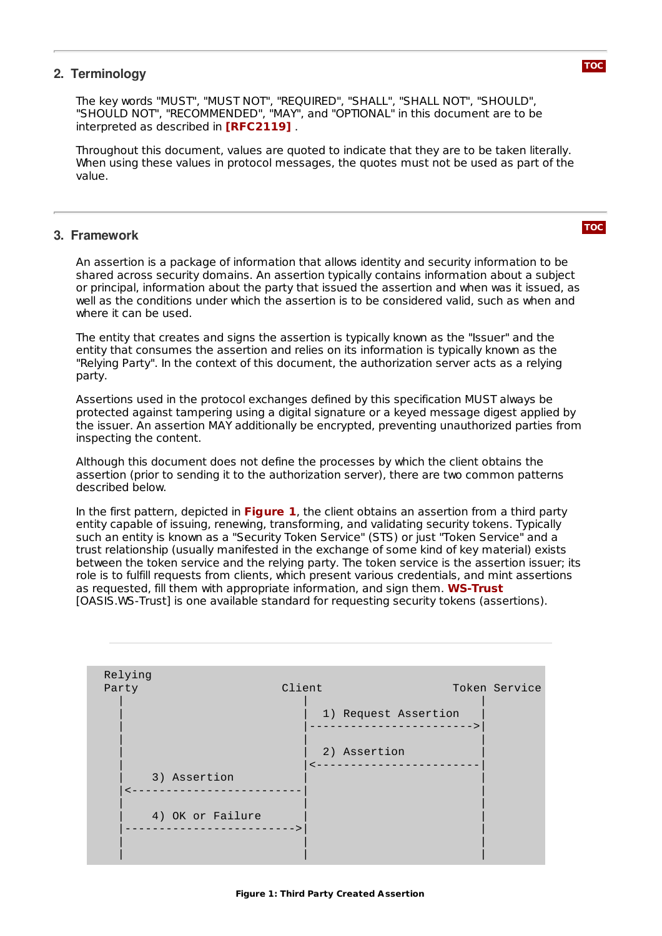## <span id="page-2-0"></span>**2. Terminology**

The key words "MUST", "MUST NOT", "REQUIRED", "SHALL", "SHALL NOT", "SHOULD", "SHOULD NOT", "RECOMMENDED", "MAY", and "OPTIONAL" in this document are to be interpreted as described in **[\[RFC2119\]](#page-11-7)**.

Throughout this document, values are quoted to indicate that they are to be taken literally. When using these values in protocol messages, the quotes must not be used as part of the value.

#### <span id="page-2-1"></span>**3. Framework**

An assertion is a package of information that allows identity and security information to be shared across security domains. An assertion typically contains information about a subject or principal, information about the party that issued the assertion and when was it issued, as well as the conditions under which the assertion is to be considered valid, such as when and where it can be used.

The entity that creates and signs the assertion is typically known as the "Issuer" and the entity that consumes the assertion and relies on its information is typically known as the "Relying Party". In the context of this document, the authorization server acts as a relying party.

Assertions used in the protocol exchanges defined by this specification MUST always be protected against tampering using a digital signature or a keyed message digest applied by the issuer. An assertion MAY additionally be encrypted, preventing unauthorized parties from inspecting the content.

Although this document does not define the processes by which the client obtains the assertion (prior to sending it to the authorization server), there are two common patterns described below.

In the first pattern, depicted in **[Figure](#page-2-2) 1**, the client obtains an assertion from a third party entity capable of issuing, renewing, transforming, and validating security tokens. Typically such an entity is known as a "Security Token Service" (STS) or just "Token Service" and a trust relationship (usually manifested in the exchange of some kind of key material) exists between the token service and the relying party. The token service is the assertion issuer; its role is to fulfill requests from clients, which present various credentials, and mint assertions as requested, fill them with appropriate information, and sign them. **[WS-Trust](#page-12-2)**[OASIS.WS‑Trust] is one available standard for requesting security tokens (assertions).

<span id="page-2-2"></span>

| Relying<br>Party | Client           | 1) Request Assertion | Token Service |
|------------------|------------------|----------------------|---------------|
|                  |                  |                      |               |
|                  |                  | 2) Assertion         |               |
|                  | 3) Assertion     |                      |               |
|                  | 4) OK or Failure |                      |               |
|                  |                  |                      |               |

```
TOC
```
**[TOC](#page-0-0)**

#### **Figure 1: Third Party Created Assertion**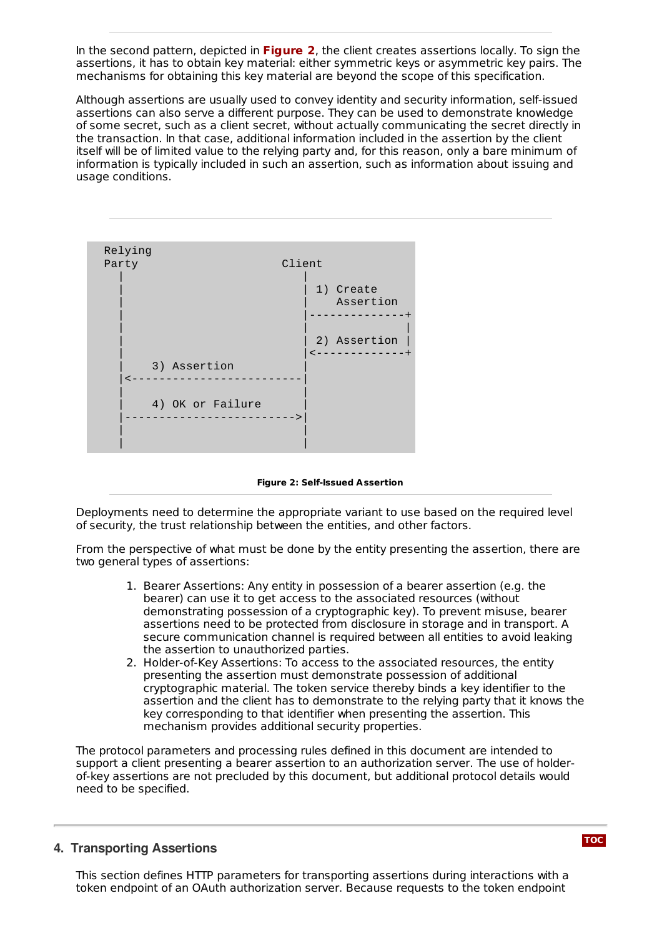In the second pattern, depicted in [Figure](#page-3-1) 2, the client creates assertions locally. To sign the assertions, it has to obtain key material: either symmetric keys or asymmetric key pairs. The mechanisms for obtaining this key material are beyond the scope of this specification.

Although assertions are usually used to convey identity and security information, self-issued assertions can also serve a different purpose. They can be used to demonstrate knowledge of some secret, such as a client secret, without actually communicating the secret directly in the transaction. In that case, additional information included in the assertion by the client itself will be of limited value to the relying party and, for this reason, only a bare minimum of information is typically included in such an assertion, such as information about issuing and usage conditions.

<span id="page-3-1"></span>

**Figure 2: Self-Issued Assertion**

Deployments need to determine the appropriate variant to use based on the required level of security, the trust relationship between the entities, and other factors.

From the perspective of what must be done by the entity presenting the assertion, there are two general types of assertions:

- 1. Bearer Assertions: Any entity in possession of a bearer assertion (e.g. the bearer) can use it to get access to the associated resources (without demonstrating possession of a cryptographic key). To prevent misuse, bearer assertions need to be protected from disclosure in storage and in transport. A secure communication channel is required between all entities to avoid leaking the assertion to unauthorized parties.
- 2. Holder-of-Key Assertions: To access to the associated resources, the entity presenting the assertion must demonstrate possession of additional cryptographic material. The token service thereby binds a key identifier to the assertion and the client has to demonstrate to the relying party that it knows the key corresponding to that identifier when presenting the assertion. This mechanism provides additional security properties.

The protocol parameters and processing rules defined in this document are intended to support a client presenting a bearer assertion to an authorization server. The use of holderof-key assertions are not precluded by this document, but additional protocol details would need to be specified.

#### <span id="page-3-0"></span>**4. Transporting Assertions**

This section defines HTTP parameters for transporting assertions during interactions with a token endpoint of an OAuth authorization server. Because requests to the token endpoint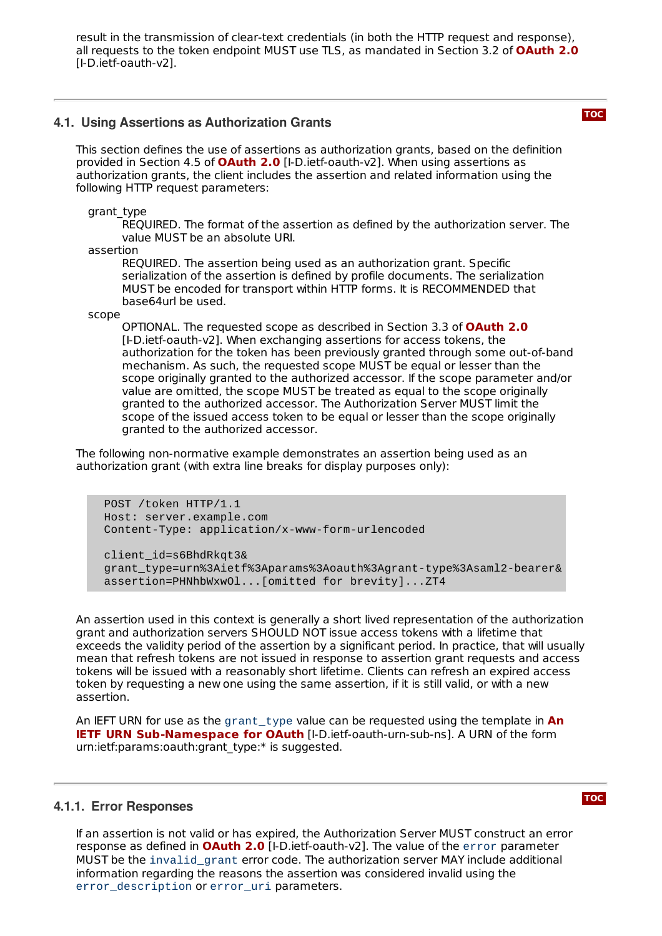result in the transmission of clear-text credentials (in both the HTTP request and response), all requests to the token endpoint MUST use TLS, as mandated in Section 3.2 of **[OAuth](#page-11-6) 2.0** [I-D.ietf-oauth-v2].

#### <span id="page-4-0"></span>**4.1. Using Assertions as Authorization Grants**

This section defines the use of assertions as authorization grants, based on the definition provided in Section 4.5 of **[OAuth](#page-11-6) 2.0** [I-D.ietf-oauth-v2]. When using assertions as authorization grants, the client includes the assertion and related information using the following HTTP request parameters:

grant\_type

REQUIRED. The format of the assertion as defined by the authorization server. The value MUST be an absolute URI.

assertion

REQUIRED. The assertion being used as an authorization grant. Specific serialization of the assertion is defined by profile documents. The serialization MUST be encoded for transport within HTTP forms. It is RECOMMENDED that base64url be used.

scope

OPTIONAL. The requested scope as described in Section 3.3 of **[OAuth](#page-11-6) 2.0** [I-D.ietf-oauth-v2]. When exchanging assertions for access tokens, the authorization for the token has been previously granted through some out-of-band mechanism. As such, the requested scope MUST be equal or lesser than the scope originally granted to the authorized accessor. If the scope parameter and/or value are omitted, the scope MUST be treated as equal to the scope originally granted to the authorized accessor. The Authorization Server MUST limit the scope of the issued access token to be equal or lesser than the scope originally granted to the authorized accessor.

The following non-normative example demonstrates an assertion being used as an authorization grant (with extra line breaks for display purposes only):

POST /token HTTP/1.1 Host: server.example.com Content-Type: application/x-www-form-urlencoded

client\_id=s6BhdRkqt3& grant\_type=urn%3Aietf%3Aparams%3Aoauth%3Agrant-type%3Asaml2-bearer& assertion=PHNhbWxwOl...[omitted for brevity]...ZT4

An assertion used in this context is generally a short lived representation of the authorization grant and authorization servers SHOULD NOT issue access tokens with a lifetime that exceeds the validity period of the assertion by a significant period. In practice, that will usually mean that refresh tokens are not issued in response to assertion grant requests and access tokens will be issued with a reasonably short lifetime. Clients can refresh an expired access token by requesting a new one using the same assertion, if it is still valid, or with a new assertion.

An IEFT URN for use as the grant\_type value can be requested using the template in **An IETF URN [Sub-Namespace](#page-12-3) for OAuth** [I-D.ietf-oauth-urn-sub-ns]. A URN of the form urn:ietf:params:oauth:grant\_type:\* is suggested.

#### <span id="page-4-1"></span>**4.1.1. Error Responses**

If an assertion is not valid or has expired, the Authorization Server MUST construct an error **response as defined in [OAuth](#page-11-6) 2.0** [I-D.ietf-oauth-v2]. The value of the error parameter MUST be the invalid grant error code. The authorization server MAY include additional information regarding the reasons the assertion was considered invalid using the error\_description or error\_uri parameters.

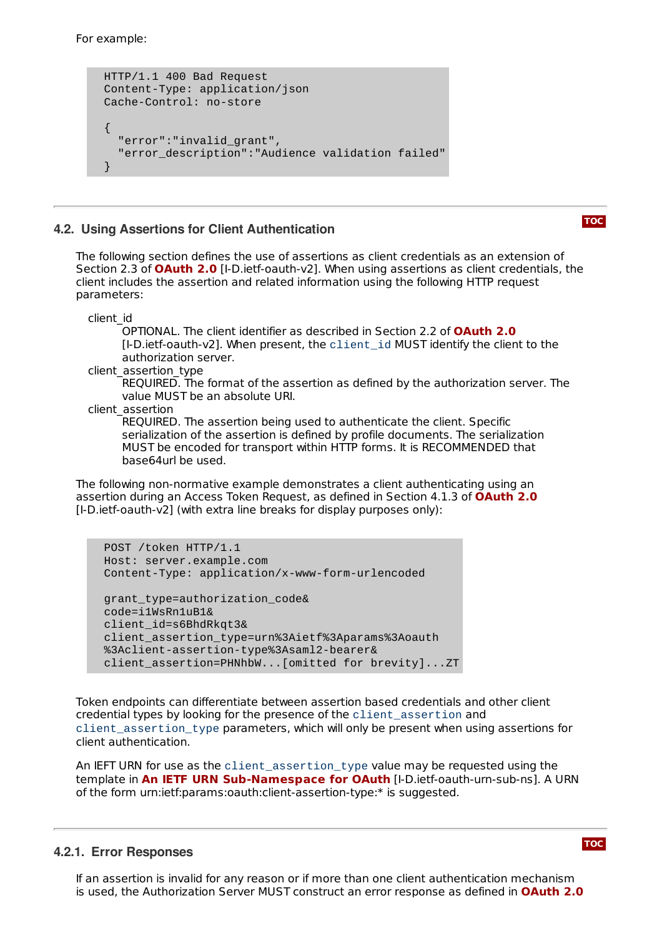For example:

```
HTTP/1.1 400 Bad Request
Content-Type: application/json
Cache-Control: no-store
{
  "error":"invalid_grant",
  "error_description":"Audience validation failed"
}
```
## <span id="page-5-0"></span>**4.2. Using Assertions for Client Authentication**

The following section defines the use of assertions as client credentials as an extension of Section 2.3 of **[OAuth](#page-11-6) 2.0** [I-D.ietf-oauth-v2]. When using assertions as client credentials, the client includes the assertion and related information using the following HTTP request parameters:

client\_id

OPTIONAL. The client identifier as described in Section 2.2 of **[OAuth](#page-11-6) 2.0** [I‑D.ietf‑oauth‑v2]. When present, the client\_id MUST identify the client to the authorization server.

client\_assertion\_type

REQUIRED. The format of the assertion as defined by the authorization server. The value MUST be an absolute URI.

client\_assertion

REQUIRED. The assertion being used to authenticate the client. Specific serialization of the assertion is defined by profile documents. The serialization MUST be encoded for transport within HTTP forms. It is RECOMMENDED that base64url be used.

The following non-normative example demonstrates a client authenticating using an assertion during an Access Token Request, as defined in Section 4.1.3 of **[OAuth](#page-11-6) 2.0** [I-D.ietf-oauth-v2] (with extra line breaks for display purposes only):

```
POST /token HTTP/1.1
Host: server.example.com
Content-Type: application/x-www-form-urlencoded
grant_type=authorization_code&
code=i1WsRn1uB1&
client_id=s6BhdRkqt3&
client_assertion_type=urn%3Aietf%3Aparams%3Aoauth
%3Aclient-assertion-type%3Asaml2-bearer&
client_assertion=PHNhbW...[omitted for brevity]...ZT
```
Token endpoints can differentiate between assertion based credentials and other client credential types by looking for the presence of the client\_assertion and client\_assertion\_type parameters, which will only be present when using assertions for client authentication.

An IEFT URN for use as the client\_assertion\_type value may be requested using the **template in An IETF URN [Sub-Namespace](#page-12-3) for OAuth** [I-D.ietf-oauth-urn-sub-ns]. A URN of the form urn:ietf:params:oauth:client-assertion-type:\* is suggested.

## <span id="page-5-1"></span>**4.2.1. Error Responses**

If an assertion is invalid for any reason or if more than one client authentication mechanism is used, the Authorization Server MUST construct an error response as defined in **[OAuth](#page-11-6) 2.0**

**[TOC](#page-0-0)**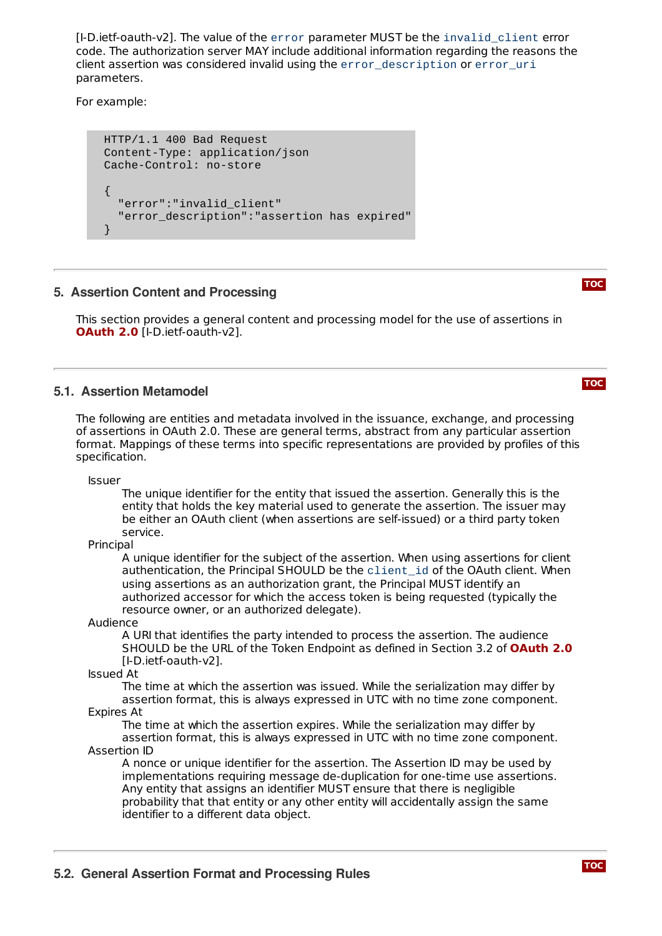[I-D.ietf-oauth-v2]. The value of the error parameter MUST be the invalid\_client error code. The authorization server MAY include additional information regarding the reasons the client assertion was considered invalid using the error\_description or error\_uri parameters.

For example:

```
HTTP/1.1 400 Bad Request
Content-Type: application/json
Cache-Control: no-store
{
  "error":"invalid_client"
  "error_description":"assertion has expired"
}
```
## <span id="page-6-0"></span>**5. Assertion Content and Processing**

This section provides a general content and processing model for the use of assertions in **[OAuth](#page-11-6) 2.0** [I-D.ietf-oauth-v2].

## <span id="page-6-1"></span>**5.1. Assertion Metamodel**

The following are entities and metadata involved in the issuance, exchange, and processing of assertions in OAuth 2.0. These are general terms, abstract from any particular assertion format. Mappings of these terms into specific representations are provided by profiles of this specification.

Issuer

The unique identifier for the entity that issued the assertion. Generally this is the entity that holds the key material used to generate the assertion. The issuer may be either an OAuth client (when assertions are self-issued) or a third party token service.

Principal

A unique identifier for the subject of the assertion. When using assertions for client authentication, the Principal SHOULD be the client\_id of the OAuth client. When using assertions as an authorization grant, the Principal MUST identify an authorized accessor for which the access token is being requested (typically the resource owner, or an authorized delegate).

Audience

A URI that identifies the party intended to process the assertion. The audience SHOULD be the URL of the Token Endpoint as defined in Section 3.2 of **[OAuth](#page-11-6) 2.0**[I‑D.ietf‑oauth‑v2].

Issued At

The time at which the assertion was issued. While the serialization may differ by assertion format, this is always expressed in UTC with no time zone component. Expires At

The time at which the assertion expires. While the serialization may differ by assertion format, this is always expressed in UTC with no time zone component. Assertion ID

<span id="page-6-2"></span>A nonce or unique identifier for the assertion. The Assertion ID may be used by implementations requiring message de-duplication for one-time use assertions. Any entity that assigns an identifier MUST ensure that there is negligible probability that that entity or any other entity will accidentally assign the same identifier to a different data object.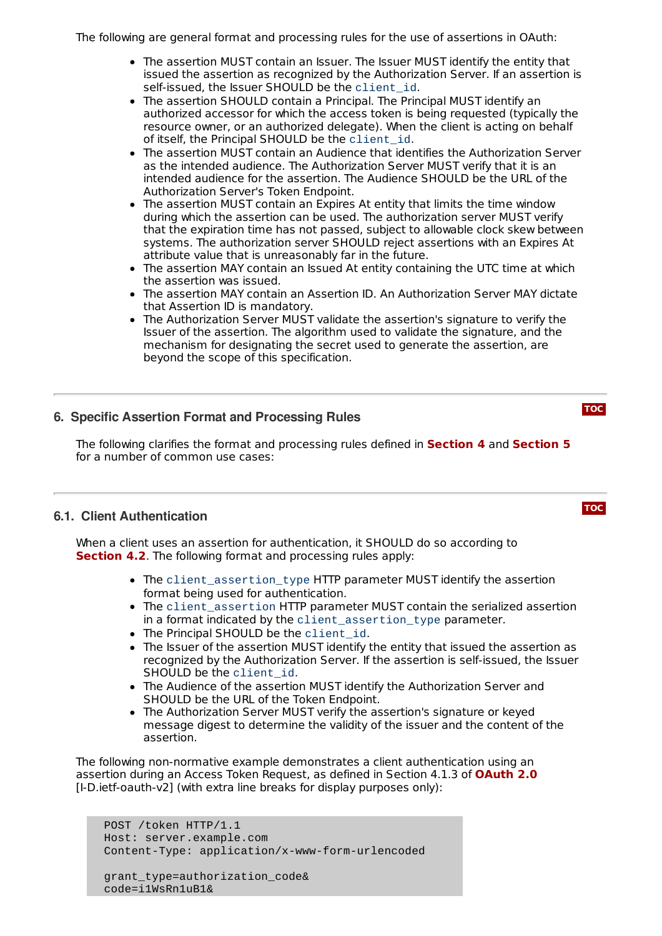The following are general format and processing rules for the use of assertions in OAuth:

- The assertion MUST contain an Issuer. The Issuer MUST identify the entity that issued the assertion as recognized by the Authorization Server. If an assertion is self-issued, the Issuer SHOULD be the client\_id.
- The assertion SHOULD contain a Principal. The Principal MUST identify an authorized accessor for which the access token is being requested (typically the resource owner, or an authorized delegate). When the client is acting on behalf of itself, the Principal SHOULD be the client\_id.
- The assertion MUST contain an Audience that identifies the Authorization Server as the intended audience. The Authorization Server MUST verify that it is an intended audience for the assertion. The Audience SHOULD be the URL of the Authorization Server's Token Endpoint.
- The assertion MUST contain an Expires At entity that limits the time window during which the assertion can be used. The authorization server MUST verify that the expiration time has not passed, subject to allowable clock skew between systems. The authorization server SHOULD reject assertions with an Expires At attribute value that is unreasonably far in the future.
- The assertion MAY contain an Issued At entity containing the UTC time at which the assertion was issued.
- The assertion MAY contain an Assertion ID. An Authorization Server MAY dictate that Assertion ID is mandatory.
- The Authorization Server MUST validate the assertion's signature to verify the Issuer of the assertion. The algorithm used to validate the signature, and the mechanism for designating the secret used to generate the assertion, are beyond the scope of this specification.

**[TOC](#page-0-0)**

**[TOC](#page-0-0)**

## <span id="page-7-0"></span>**6. Specific Assertion Format and Processing Rules**

The following clarifies the format and processing rules defined in **[Section](#page-6-0) 4** and **Section 5** for a number of common use cases:

## <span id="page-7-1"></span>**6.1. Client Authentication**

When a client uses an assertion for authentication, it SHOULD do so according to **[Section](#page-5-0) 4.2**. The following format and processing rules apply:

- The client assertion type HTTP parameter MUST identify the assertion format being used for authentication.
- The client\_assertion HTTP parameter MUST contain the serialized assertion in a format indicated by the client\_assertion\_type parameter.
- The Principal SHOULD be the client id.
- The Issuer of the assertion MUST identify the entity that issued the assertion as recognized by the Authorization Server. If the assertion is self-issued, the Issuer SHOULD be the client\_id.
- The Audience of the assertion MUST identify the Authorization Server and SHOULD be the URL of the Token Endpoint.
- The Authorization Server MUST verify the assertion's signature or keyed message digest to determine the validity of the issuer and the content of the assertion.

The following non-normative example demonstrates a client authentication using an assertion during an Access Token Request, as defined in Section 4.1.3 of **[OAuth](#page-11-6) 2.0**[I-D.ietf-oauth-v2] (with extra line breaks for display purposes only):

POST /token HTTP/1.1 Host: server.example.com Content-Type: application/x-www-form-urlencoded

grant\_type=authorization\_code& code=i1WsRn1uB1&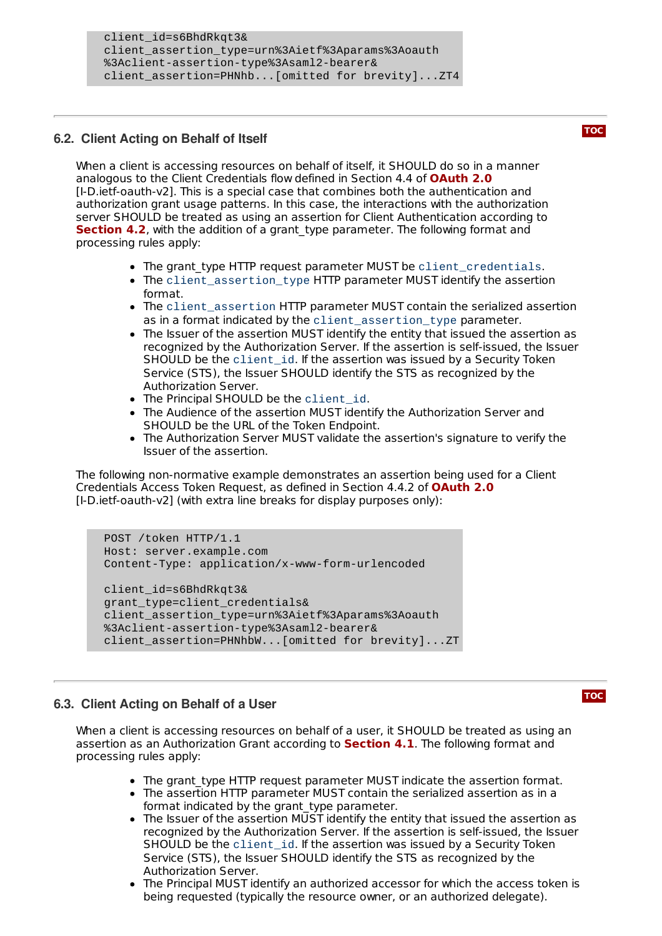```
client_id=s6BhdRkqt3&
client_assertion_type=urn%3Aietf%3Aparams%3Aoauth
%3Aclient-assertion-type%3Asaml2-bearer&
client_assertion=PHNhb...[omitted for brevity]...ZT4
```
## <span id="page-8-0"></span>**6.2. Client Acting on Behalf of Itself**

When a client is accessing resources on behalf of itself, it SHOULD do so in a manner analogous to the Client Credentials flow defined in Section 4.4 of **[OAuth](#page-11-6) 2.0** [I‑D.ietf‑oauth‑v2]. This is a special case that combines both the authentication and authorization grant usage patterns. In this case, the interactions with the authorization server SHOULD be treated as using an assertion for Client Authentication according to **[Section](#page-5-0) 4.2**, with the addition of a grant\_type parameter. The following format and processing rules apply:

- The grant type HTTP request parameter MUST be client\_credentials.
- The client\_assertion\_type HTTP parameter MUST identify the assertion format.
- The client\_assertion HTTP parameter MUST contain the serialized assertion as in a format indicated by the client\_assertion\_type parameter.
- The Issuer of the assertion MUST identify the entity that issued the assertion as recognized by the Authorization Server. If the assertion is self-issued, the Issuer SHOULD be the client\_id. If the assertion was issued by a Security Token Service (STS), the Issuer SHOULD identify the STS as recognized by the Authorization Server.
- The Principal SHOULD be the client id.
- The Audience of the assertion MUST identify the Authorization Server and SHOULD be the URL of the Token Endpoint.
- The Authorization Server MUST validate the assertion's signature to verify the Issuer of the assertion.

The following non-normative example demonstrates an assertion being used for a Client Credentials Access Token Request, as defined in Section 4.4.2 of **[OAuth](#page-11-6) 2.0** [I-D.ietf-oauth-v2] (with extra line breaks for display purposes only):

```
POST /token HTTP/1.1
Host: server.example.com
Content-Type: application/x-www-form-urlencoded
client_id=s6BhdRkqt3&
grant_type=client_credentials&
client_assertion_type=urn%3Aietf%3Aparams%3Aoauth
%3Aclient-assertion-type%3Asaml2-bearer&
client_assertion=PHNhbW...[omitted for brevity]...ZT
```
## <span id="page-8-1"></span>**6.3. Client Acting on Behalf of a User**

When a client is accessing resources on behalf of a user, it SHOULD be treated as using an assertion as an Authorization Grant according to **[Section](#page-4-0) 4.1**. The following format and processing rules apply:

- The grant type HTTP request parameter MUST indicate the assertion format.
- The assertion HTTP parameter MUST contain the serialized assertion as in a format indicated by the grant\_type parameter.
- $\bullet$  The Issuer of the assertion MUST identify the entity that issued the assertion as recognized by the Authorization Server. If the assertion is self-issued, the Issuer SHOULD be the client\_id. If the assertion was issued by a Security Token Service (STS), the Issuer SHOULD identify the STS as recognized by the Authorization Server.
- The Principal MUST identify an authorized accessor for which the access token is being requested (typically the resource owner, or an authorized delegate).

#### **[TOC](#page-0-0)**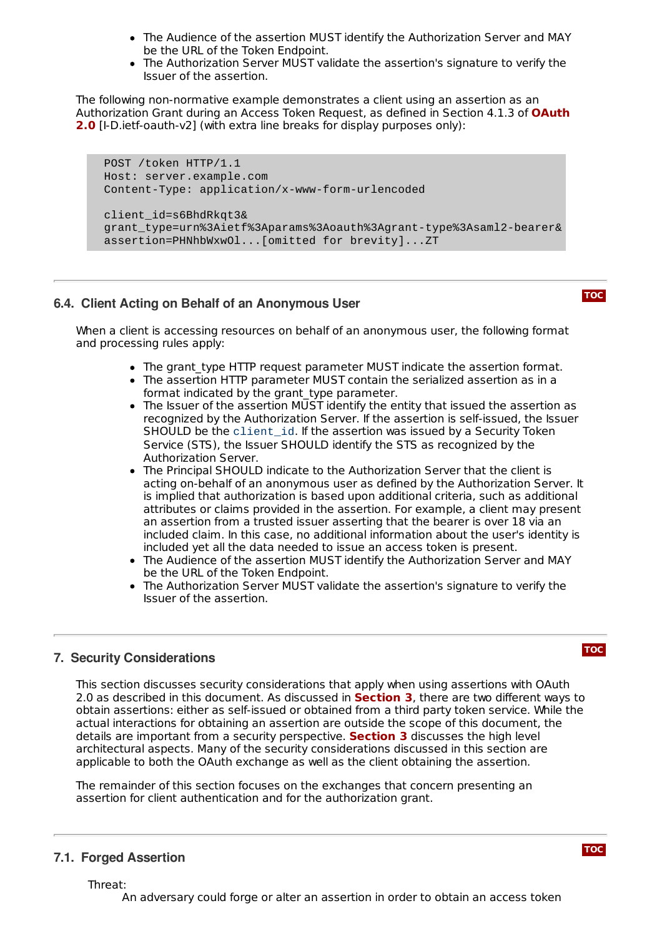- The Audience of the assertion MUST identify the Authorization Server and MAY be the URL of the Token Endpoint.
- The Authorization Server MUST validate the assertion's signature to verify the Issuer of the assertion.

The following non-normative example demonstrates a client using an assertion as an [Authorization](#page-11-6) Grant during an Access Token Request, as defined in Section 4.1.3 of **OAuth 2.0** [I-D.ietf-oauth-v2] (with extra line breaks for display purposes only):

```
POST /token HTTP/1.1
Host: server.example.com
Content-Type: application/x-www-form-urlencoded
client_id=s6BhdRkqt3&
grant_type=urn%3Aietf%3Aparams%3Aoauth%3Agrant-type%3Asaml2-bearer&
assertion=PHNhbWxwOl...[omitted for brevity]...ZT
```
## <span id="page-9-0"></span>**6.4. Client Acting on Behalf of an Anonymous User**

**[TOC](#page-0-0)**

When a client is accessing resources on behalf of an anonymous user, the following format and processing rules apply:

- The grant type HTTP request parameter MUST indicate the assertion format.
- The assertion HTTP parameter MUST contain the serialized assertion as in a format indicated by the grant type parameter.
- The Issuer of the assertion MUST identify the entity that issued the assertion as recognized by the Authorization Server. If the assertion is self-issued, the Issuer SHOULD be the client\_id. If the assertion was issued by a Security Token Service (STS), the Issuer SHOULD identify the STS as recognized by the Authorization Server.
- The Principal SHOULD indicate to the Authorization Server that the client is acting on-behalf of an anonymous user as defined by the Authorization Server. It is implied that authorization is based upon additional criteria, such as additional attributes or claims provided in the assertion. For example, a client may present an assertion from a trusted issuer asserting that the bearer is over 18 via an included claim. In this case, no additional information about the user's identity is included yet all the data needed to issue an access token is present.
- The Audience of the assertion MUST identify the Authorization Server and MAY be the URL of the Token Endpoint.
- The Authorization Server MUST validate the assertion's signature to verify the Issuer of the assertion.

## <span id="page-9-1"></span>**7. Security Considerations**

This section discusses security considerations that apply when using assertions with OAuth 2.0 as described in this document. As discussed in **[Section](#page-2-1) 3**, there are two different ways to obtain assertions: either as self-issued or obtained from a third party token service. While the actual interactions for obtaining an assertion are outside the scope of this document, the details are important from a security perspective. **[Section](#page-2-1) 3** discusses the high level architectural aspects. Many of the security considerations discussed in this section are applicable to both the OAuth exchange as well as the client obtaining the assertion.

The remainder of this section focuses on the exchanges that concern presenting an assertion for client authentication and for the authorization grant.

## <span id="page-9-2"></span>**7.1. Forged Assertion**

**[TOC](#page-0-0)**

Threat:

An adversary could forge or alter an assertion in order to obtain an access token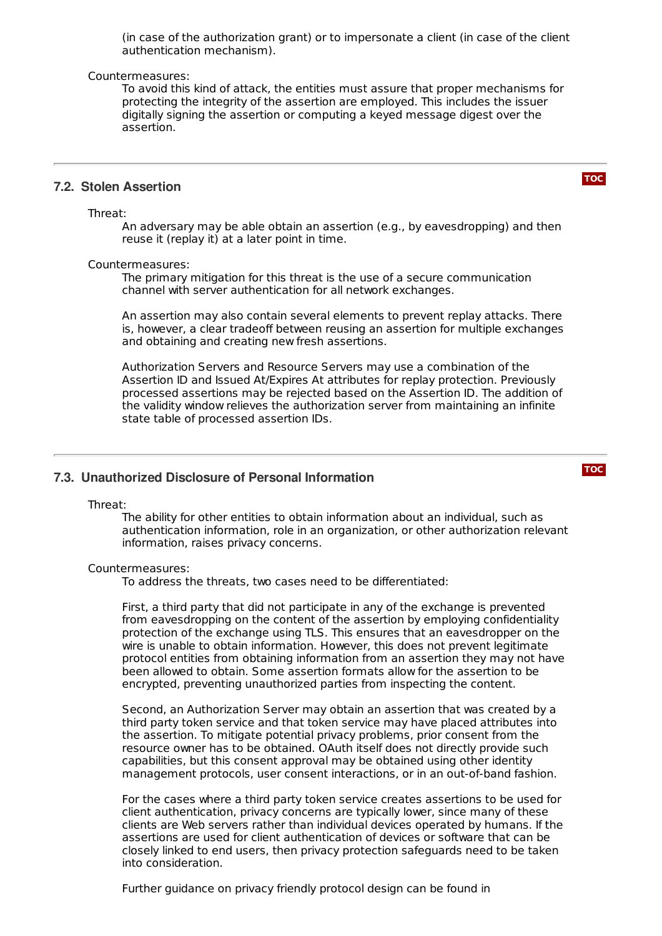(in case of the authorization grant) or to impersonate a client (in case of the client authentication mechanism).

#### Countermeasures:

To avoid this kind of attack, the entities must assure that proper mechanisms for protecting the integrity of the assertion are employed. This includes the issuer digitally signing the assertion or computing a keyed message digest over the assertion.

#### <span id="page-10-0"></span>**7.2. Stolen Assertion**

Threat:

An adversary may be able obtain an assertion (e.g., by eavesdropping) and then reuse it (replay it) at a later point in time.

#### Countermeasures:

The primary mitigation for this threat is the use of a secure communication channel with server authentication for all network exchanges.

An assertion may also contain several elements to prevent replay attacks. There is, however, a clear tradeoff between reusing an assertion for multiple exchanges and obtaining and creating new fresh assertions.

Authorization Servers and Resource Servers may use a combination of the Assertion ID and Issued At/Expires At attributes for replay protection. Previously processed assertions may be rejected based on the Assertion ID. The addition of the validity window relieves the authorization server from maintaining an infinite state table of processed assertion IDs.

#### <span id="page-10-1"></span>**7.3. Unauthorized Disclosure of Personal Information**

Threat:

The ability for other entities to obtain information about an individual, such as authentication information, role in an organization, or other authorization relevant information, raises privacy concerns.

#### Countermeasures:

To address the threats, two cases need to be differentiated:

First, a third party that did not participate in any of the exchange is prevented from eavesdropping on the content of the assertion by employing confidentiality protection of the exchange using TLS. This ensures that an eavesdropper on the wire is unable to obtain information. However, this does not prevent legitimate protocol entities from obtaining information from an assertion they may not have been allowed to obtain. Some assertion formats allow for the assertion to be encrypted, preventing unauthorized parties from inspecting the content.

Second, an Authorization Server may obtain an assertion that was created by a third party token service and that token service may have placed attributes into the assertion. To mitigate potential privacy problems, prior consent from the resource owner has to be obtained. OAuth itself does not directly provide such capabilities, but this consent approval may be obtained using other identity management protocols, user consent interactions, or in an out-of-band fashion.

For the cases where a third party token service creates assertions to be used for client authentication, privacy concerns are typically lower, since many of these clients are Web servers rather than individual devices operated by humans. If the assertions are used for client authentication of devices or software that can be closely linked to end users, then privacy protection safeguards need to be taken into consideration.

Further guidance on privacy friendly protocol design can be found in

#### **[TOC](#page-0-0)**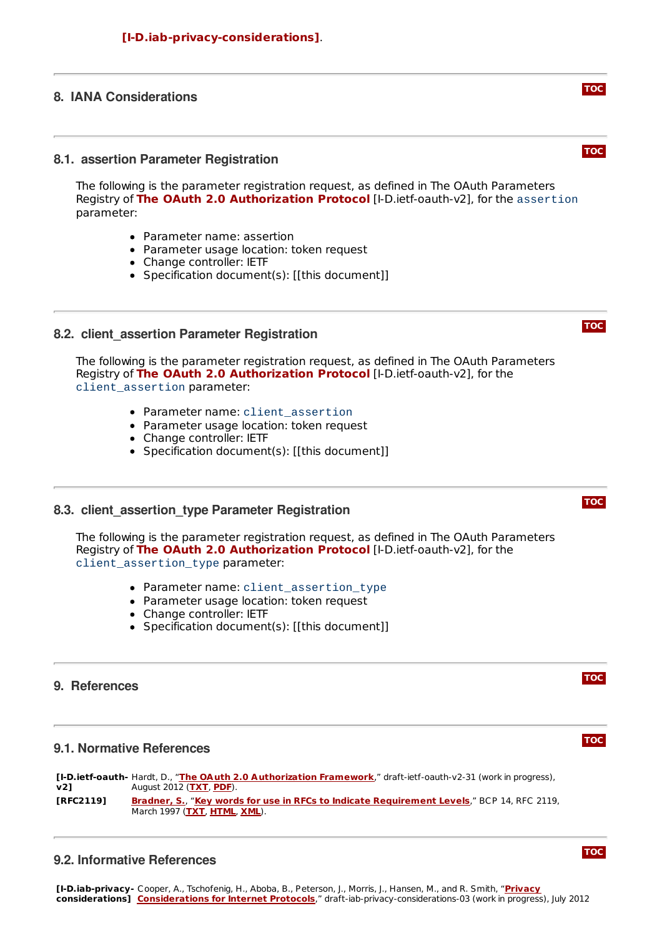## <span id="page-11-1"></span><span id="page-11-0"></span>**8. IANA Considerations**

#### **8.1. assertion Parameter Registration**

The following is the parameter registration request, as defined in The OAuth Parameters **Registry of The OAuth 2.0 [Authorization](#page-11-6) Protocol [I-D.ietf-oauth-v2], for the assertion** parameter:

- Parameter name: assertion
- Parameter usage location: token request
- Change controller: IETF
- Specification document(s): [[this document]]

#### <span id="page-11-2"></span>**8.2. client\_assertion Parameter Registration**

The following is the parameter registration request, as defined in The OAuth Parameters Registry of The OAuth 2.0 [Authorization](#page-11-6) Protocol [I-D.ietf-oauth-v2], for the client assertion parameter:

- Parameter name: client\_assertion
- Parameter usage location: token request
- Change controller: IETF
- Specification document(s): [[this document]]

#### <span id="page-11-3"></span>**8.3. client\_assertion\_type Parameter Registration**

The following is the parameter registration request, as defined in The OAuth Parameters Registry of The OAuth 2.0 [Authorization](#page-11-6) Protocol [I-D.ietf-oauth-v2], for the client\_assertion\_type parameter:

- Parameter name: client\_assertion\_type
- Parameter usage location: token request
- Change controller: IETF
- Specification document(s): [[this document]]

#### <span id="page-11-4"></span>**9. References**

## **9.1. Normative References**

<span id="page-11-7"></span><span id="page-11-6"></span>**[I-D.ietf-oauth-**Hardt, D., "**The OAuth 2.0 [Authorization](http://tools.ietf.org/html/draft-ietf-oauth-v2-31) Framework**," draft-ietf-oauth-v2-31 (work in progress), **v2]** August 2012 (**[TXT](http://www.ietf.org/internet-drafts/draft-ietf-oauth-v2-31.txt)**, **[PDF](http://www.ietf.org/internet-drafts/draft-ietf-oauth-v2-31.pdf)**). **[RFC2119] [Bradner,](mailto:sob@harvard.edu) S.**, "**Key words for use in RFCs to Indicate [Requirement](http://tools.ietf.org/html/rfc2119) Levels**," BCP 14, RFC 2119, March 1997 (**[TXT](http://www.rfc-editor.org/rfc/rfc2119.txt)**, **[HTML](http://xml.resource.org/public/rfc/html/rfc2119.html)**, **[XML](http://xml.resource.org/public/rfc/xml/rfc2119.xml)**).

## <span id="page-11-8"></span><span id="page-11-5"></span>**9.2. Informative References**

**[TOC](#page-0-0)**

**[TOC](#page-0-0)**

**[TOC](#page-0-0)**

## **[TOC](#page-0-0)**

## **[TOC](#page-0-0)**

## **[TOC](#page-0-0)**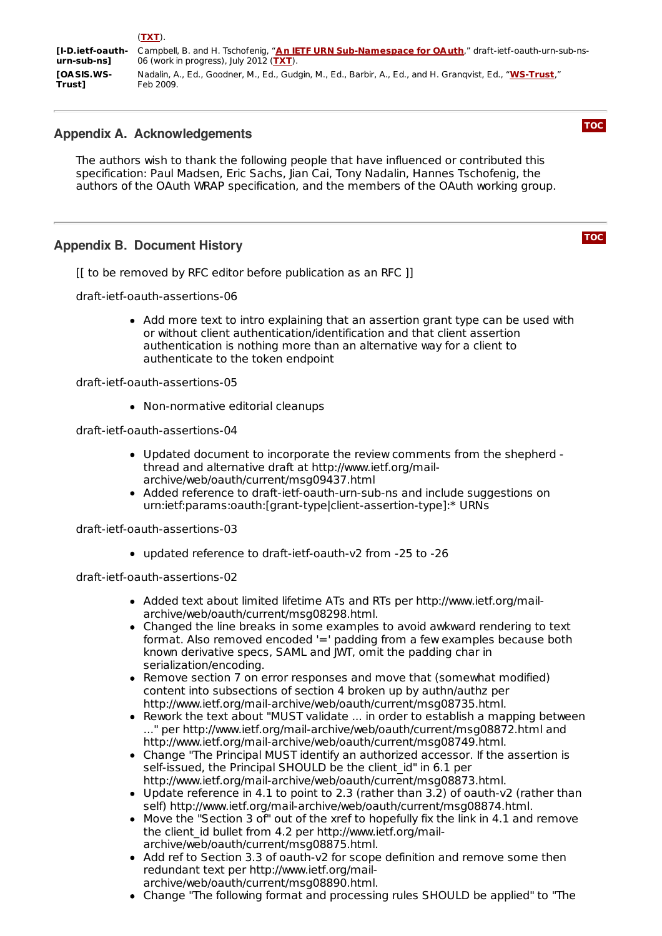<span id="page-12-3"></span><span id="page-12-2"></span>

|                                | (TXT).                                                                                                   |
|--------------------------------|----------------------------------------------------------------------------------------------------------|
| <b><i>II-D.ietf-oauth-</i></b> | Campbell, B. and H. Tschofenig, "An IETF URN Sub-Namespace for OAuth," draft-ietf-oauth-urn-sub-ns-      |
| urn-sub-ns1                    | 06 (work in progress), July 2012 (TXT).                                                                  |
| <b>TOA SIS.WS-</b>             | Nadalin, A., Ed., Goodner, M., Ed., Gudgin, M., Ed., Barbir, A., Ed., and H. Grangvist, Ed., "WS-Trust," |
| <b>Trust1</b>                  | Feb 2009.                                                                                                |

## <span id="page-12-0"></span>**Appendix A. Acknowledgements**

The authors wish to thank the following people that have influenced or contributed this specification: Paul Madsen, Eric Sachs, Jian Cai, Tony Nadalin, Hannes Tschofenig, the authors of the OAuth WRAP specification, and the members of the OAuth working group.

## <span id="page-12-1"></span>**Appendix B. Document History**

[[ to be removed by RFC editor before publication as an RFC ]]

draft-ietf-oauth-assertions-06

Add more text to intro explaining that an assertion grant type can be used with or without client authentication/identification and that client assertion authentication is nothing more than an alternative way for a client to authenticate to the token endpoint

draft-ietf-oauth-assertions-05

Non-normative editorial cleanups

draft-ietf-oauth-assertions-04

- Updated document to incorporate the review comments from the shepherd thread and alternative draft at http://www.ietf.org/mailarchive/web/oauth/current/msg09437.html
- Added reference to draft-ietf-oauth-urn-sub-ns and include suggestions on urn:ietf:params:oauth:[grant-type|client-assertion-type]:\* URNs

draft-ietf-oauth-assertions-03

updated reference to draft-ietf-oauth-v2 from -25 to -26

draft-ietf-oauth-assertions-02

- Added text about limited lifetime ATs and RTs per http://www.ietf.org/mailarchive/web/oauth/current/msg08298.html.
- Changed the line breaks in some examples to avoid awkward rendering to text format. Also removed encoded '=' padding from a few examples because both known derivative specs, SAML and JWT, omit the padding char in serialization/encoding.
- Remove section 7 on error responses and move that (somewhat modified) content into subsections of section 4 broken up by authn/authz per http://www.ietf.org/mail-archive/web/oauth/current/msg08735.html.
- Rework the text about "MUST validate ... in order to establish a mapping between ..." per http://www.ietf.org/mail-archive/web/oauth/current/msg08872.html and http://www.ietf.org/mail-archive/web/oauth/current/msg08749.html.
- Change "The Principal MUST identify an authorized accessor. If the assertion is self-issued, the Principal SHOULD be the client id" in 6.1 per http://www.ietf.org/mail-archive/web/oauth/current/msg08873.html.
- Update reference in 4.1 to point to 2.3 (rather than 3.2) of oauth-v2 (rather than self) http://www.ietf.org/mail-archive/web/oauth/current/msg08874.html.
- Move the "Section 3 of" out of the xref to hopefully fix the link in 4.1 and remove the client id bullet from 4.2 per http://www.ietf.org/mailarchive/web/oauth/current/msg08875.html.
- Add ref to Section 3.3 of oauth-v2 for scope definition and remove some then redundant text per http://www.ietf.org/mailarchive/web/oauth/current/msg08890.html.
- Change "The following format and processing rules SHOULD be applied" to "The

**[TOC](#page-0-0)**